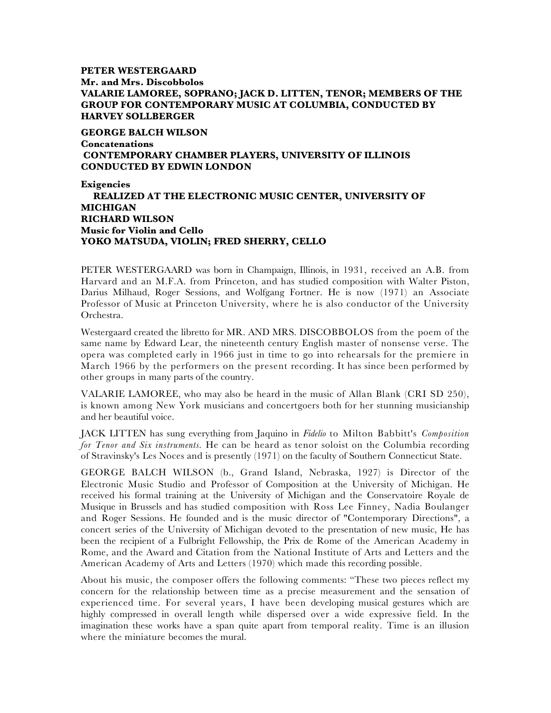# **PETER WESTERGAARD Mr. and Mrs. Discobbolos VALARIE LAMOREE, SOPRANO; JACK D. LITTEN, TENOR; MEMBERS OF THE GROUP FOR CONTEMPORARY MUSIC AT COLUMBIA, CONDUCTED BY HARVEY SOLLBERGER**

**GEORGE BALCH WILSON Concatenations CONTEMPORARY CHAMBER PLAYERS, UNIVERSITY OF ILLINOIS CONDUCTED BY EDWIN LONDON**

**Exigencies REALIZED AT THE ELECTRONIC MUSIC CENTER, UNIVERSITY OF MICHIGAN RICHARD WILSON Music for Violin and Cello YOKO MATSUDA, VIOLIN; FRED SHERRY, CELLO**

PETER WESTERGAARD was born in Champaign, Illinois, in 1931, received an A.B. from Harvard and an M.F.A. from Princeton, and has studied composition with Walter Piston, Darius Milhaud, Roger Sessions, and Wolfgang Fortner. He is now (1971) an Associate Professor of Music at Princeton University, where he is also conductor of the University Orchestra.

Westergaard created the libretto for MR. AND MRS. DISCOBBOLOS from the poem of the same name by Edward Lear, the nineteenth century English master of nonsense verse. The opera was completed early in 1966 just in time to go into rehearsals for the premiere in March 1966 by the performers on the present recording. It has since been performed by other groups in many parts of the country.

VALARIE LAMOREE, who may also be heard in the music of Allan Blank (CRI SD 250), is known among New York musicians and concertgoers both for her stunning musicianship and her beautiful voice.

JACK LITTEN has sung everything from Jaquino in *Fidelio* to Milton Babbitt's *Composition for Tenor and Six instruments.* He can be heard as tenor soloist on the Columbia recording of Stravinsky's Les Noces and is presently (1971) on the faculty of Southern Connecticut State.

GEORGE BALCH WILSON (b., Grand Island, Nebraska, 1927) is Director of the Electronic Music Studio and Professor of Composition at the University of Michigan. He received his formal training at the University of Michigan and the Conservatoire Royale de Musique in Brussels and has studied composition with Ross Lee Finney, Nadia Boulanger and Roger Sessions. He founded and is the music director of "Contemporary Directions", a concert series of the University of Michigan devoted to the presentation of new music, He has been the recipient of a Fulbright Fellowship, the Prix de Rome of the American Academy in Rome, and the Award and Citation from the National Institute of Arts and Letters and the American Academy of Arts and Letters (1970) which made this recording possible.

About his music, the composer offers the following comments: "These two pieces reflect my concern for the relationship between time as a precise measurement and the sensation of experienced time. For several years, I have been developing musical gestures which are highly compressed in overall length while dispersed over a wide expressive field. In the imagination these works have a span quite apart from temporal reality. Time is an illusion where the miniature becomes the mural.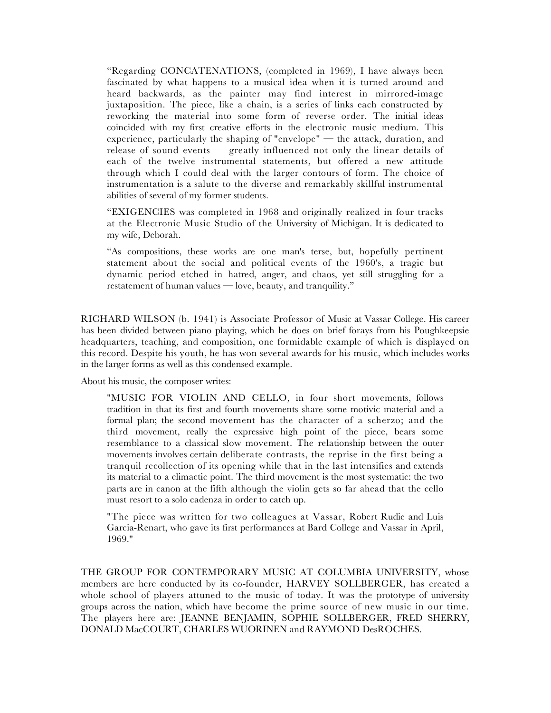"Regarding CONCATENATIONS, (completed in 1969), I have always been fascinated by what happens to a musical idea when it is turned around and heard backwards, as the painter may find interest in mirrored-image juxtaposition. The piece, like a chain, is a series of links each constructed by reworking the material into some form of reverse order. The initial ideas coincided with my first creative efforts in the electronic music medium. This experience, particularly the shaping of "envelope" — the attack, duration, and release of sound events — greatly influenced not only the linear details of each of the twelve instrumental statements, but offered a new attitude through which I could deal with the larger contours of form. The choice of instrumentation is a salute to the diverse and remarkably skillful instrumental abilities of several of my former students.

"EXIGENCIES was completed in 1968 and originally realized in four tracks at the Electronic Music Studio of the University of Michigan. It is dedicated to my wife, Deborah.

"As compositions, these works are one man's terse, but, hopefully pertinent statement about the social and political events of the 1960's, a tragic but dynamic period etched in hatred, anger, and chaos, yet still struggling for a restatement of human values — love, beauty, and tranquility."

RICHARD WILSON (b. 1941) is Associate Professor of Music at Vassar College. His career has been divided between piano playing, which he does on brief forays from his Poughkeepsie headquarters, teaching, and composition, one formidable example of which is displayed on this record. Despite his youth, he has won several awards for his music, which includes works in the larger forms as well as this condensed example.

About his music, the composer writes:

"MUSIC FOR VIOLIN AND CELLO, in four short movements, follows tradition in that its first and fourth movements share some motivic material and a formal plan; the second movement has the character of a scherzo; and the third movement, really the expressive high point of the piece, bears some resemblance to a classical slow movement. The relationship between the outer movements involves certain deliberate contrasts, the reprise in the first being a tranquil recollection of its opening while that in the last intensifies and extends its material to a climactic point. The third movement is the most systematic: the two parts are in canon at the fifth although the violin gets so far ahead that the cello must resort to a solo cadenza in order to catch up.

"The piece was written for two colleagues at Vassar, Robert Rudie and Luis Garcia-Renart, who gave its first performances at Bard College and Vassar in April, 1969."

THE GROUP FOR CONTEMPORARY MUSIC AT COLUMBIA UNIVERSITY, whose members are here conducted by its co-founder, HARVEY SOLLBERGER, has created a whole school of players attuned to the music of today. It was the prototype of university groups across the nation, which have become the prime source of new music in our time. The players here are: JEANNE BENJAMIN, SOPHIE SOLLBERGER, FRED SHERRY, DONALD MacCOURT, CHARLES WUORINEN and RAYMOND DesROCHES.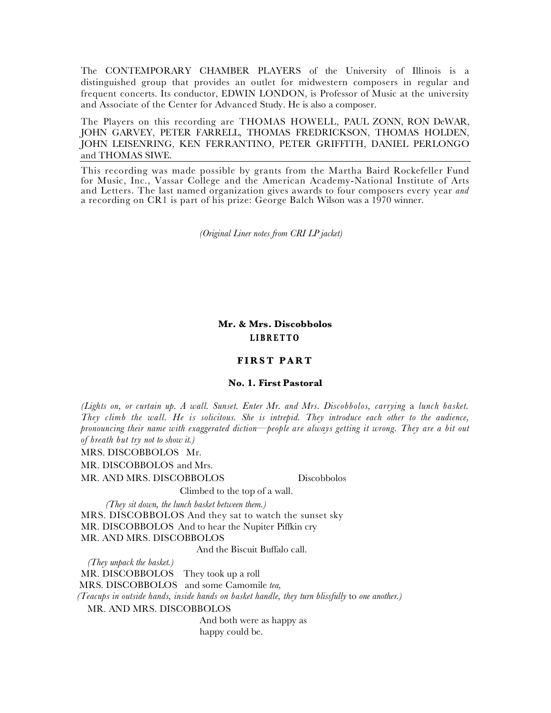The CONTEMPORARY CHAMBER PLAYERS of the University of Illinois is a distinguished group that provides an outlet for midwestern composers in regular and frequent concerts. Its conductor, EDWIN LONDON, is Professor of Music at the university and Associate of the Center for Advanced Study. He is also a composer.

The Players on this recording are THOMAS HOWELL, PAUL ZONN, RON DeWAR, JOHN GARVEY, PETER FARRELL, THOMAS FREDRICKSON, THOMAS HOLDEN, JOHN LEISENRING, KEN FERRANTINO, PETER GRIFFITH, DANIEL PERLONGO and THOMAS SIWE.

This recording was made possible by grants from the Martha Baird Rockefeller Fund for Music, Inc., Vassar College and the American Academy-National Institute of Arts and Letters. The last named organization gives awards to four composers every year *and*  a recording on CR1 is part of his prize: George Balch Wilson was a 1970 winner.

*(Original Liner notes from CRI LP jacket)*

**Mr. & Mrs. Discobbolos LIBRETTO**

#### **FIRST PART**

#### **No. 1. First Pastoral**

*(Lights on, or curtain up. A wall. Sunset. Enter Mr. and Mrs. Discobbolos, carrying* a *lunch basket. They climb the wall. He is solicitous. She is intrepid. They introduce each other to the audience, pronouncing their name with exaggerated diction—people are always getting it wrong. They are a bit out of breath but try not to show it.)*

MRS. DISCOBBOLOS Mr.

MR. DISCOBBOLOS and Mrs.

MR. AND MRS. DISCOBBOLOS Discobbolos

Climbed to the top of a wall.

*(They sit down, the lunch basket between them.)*

MRS. DISCOBBOLOS And they sat to watch the sunset sky MR. DISCOBBOLOS And to hear the Nupiter Piffkin cry MR. AND MRS. DISCOBBOLOS

And the Biscuit Buffalo call.

*(They unpack the basket.)* MR. DISCOBBOLOS They took up a roll MRS. DISCOBBOLOS and some Camomile *tea, (Teacups in outside hands, inside hands on basket handle, they turn blissfully* to *one another.)* MR. AND MRS. DISCOBBOLOS

 And both were as happy as happy could be.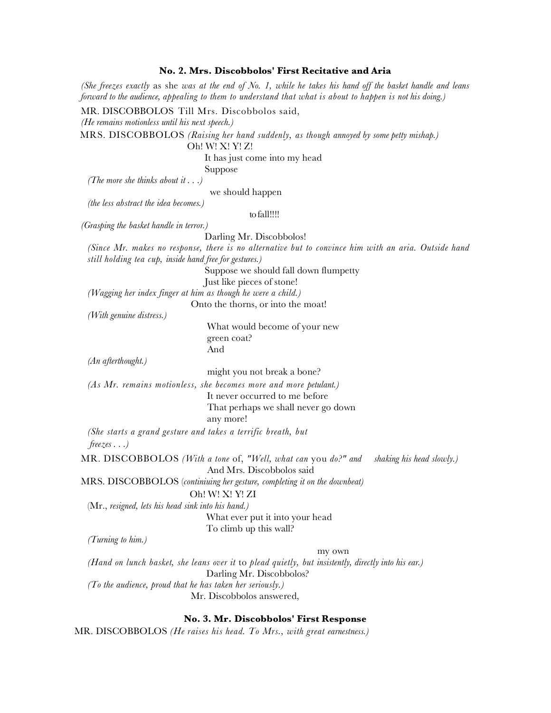### **No. 2. Mrs. Discobbolos' First Recitative and Aria**

*(She freezes exactly* as she *was at the end of No. 1, while he takes his hand off the basket handle and leans forward to the audience, appealing to them to understand that what is about to happen is not his doing.)*

MR. DISCOBBOLOS Till Mrs. Discobbolos said,

*(He remains motionless until his next speech.)*

MRS. DISCOBBOLOS *(Raising her hand suddenly, as though annoyed by some petty mishap.)*

Oh! W! X! Y! Z!

It has just come into my head

Suppose

*(The more she thinks about it . . .)*

we should happen

*(the less abstract the idea becomes.)*

to fall!!!!

*(Grasping the basket handle in terror.)*

Darling Mr. Discobbolos!

*(Since Mr. makes no response, there is no alternative but to convince him with an aria. Outside hand still holding tea cup, inside hand free for gestures.)*

Suppose we should fall down flumpetty

Just like pieces of stone!

*(Wagging her index finger at him as though he were a child.)* Onto the thorns, or into the moat!

*(With genuine distress.)*

 What would become of your new green coat? And

*(An afterthought.)*

might you not break a bone?

*(As Mr. remains motionless, she becomes more and more petulant.)*

 It never occurred to me before That perhaps we shall never go down any more!

*(She starts a grand gesture and takes a terrific breath, but freezes . . .)*

MR. DISCOBBOLOS *(With a tone* of, *"Well, what can* you *do?" and shaking his head slowly.)*

And Mrs. Discobbolos said

MRS. DISCOBBOLOS (*continiuing her gesture, completing it on the downbeat)*

Oh! W! X! Y! ZI

(Mr., *resigned, lets his head sink into his hand.)*

 What ever put it into your head To climb up this wall?

*(Turning to him.)*

#### my own

*(Hand on lunch basket, she leans over it* to *plead quietly, but insistently, directly into his ear.)* Darling Mr. Discobbolos? *(To the audience, proud that he has taken her seriously.)*  Mr. Discobbolos answered,

## **No. 3. Mr. Discobbolos' First Response**

MR. DISCOBBOLOS *(He raises his head. To Mrs., with great earnestness.)*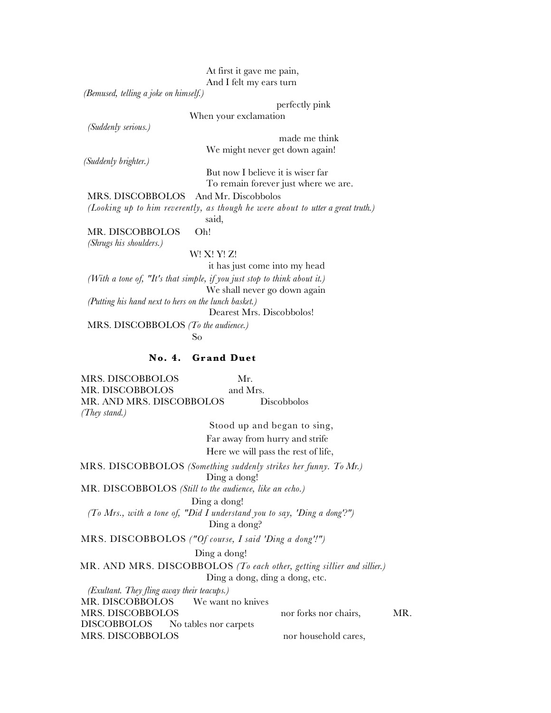At first it gave me pain, And I felt my ears turn

When your exclamation

 *(Bemused, telling a joke on himself.)*

perfectly pink

*(Suddenly serious.)*

 made me think We might never get down again!

 *(Suddenly brighter.)*

 But now I believe it is wiser far To remain forever just where we are.

MRS. DISCOBBOLOS And Mr. Discobbolos

*(Looking up to him reverently, as though he were about to utter a great truth.)*

said,

MR. DISCOBBOLOS Oh!

*(Shrugs his shoulders.)*

W! X! Y! Z!

it has just come into my head

*(With a tone of, "It's that simple, if you just stop to think about it.)* We shall never go down again *(Putting his hand next to hers on the lunch basket.)* Dearest Mrs. Discobbolos!

MRS. DISCOBBOLOS *(To the audience.)* So and the Society of Society and Society and Society and Society and Society and Society and Society and Society and Society and Society and Society and Society and Society and Society and Society and Society and Society

# **No. 4. Grand Duet**

MRS. DISCOBBOLOS Mr. MR. DISCOBBOLOS and Mrs. MR. AND MRS. DISCOBBOLOS Discobbolos *(They stand.)*

 Stood up and began to sing, Far away from hurry and strife Here we will pass the rest of life,

 MRS. DISCOBBOLOS *(Something suddenly strikes her funny. To Mr.)* Ding a dong!

MR. DISCOBBOLOS *(Still to the audience, like an echo.)*

Ding a dong!

*(To Mrs., with a tone of, "Did I understand you to say, 'Ding a dong'?")* Ding a dong?

MRS. DISCOBBOLOS *("Of course, I said 'Ding a dong'!")* 

### Ding a dong!

MR. AND MRS. DISCOBBOLOS *(To each other, getting sillier and sillier.)*

Ding a dong, ding a dong, etc.

*(Exultant. They fling away their teacups.)* MR. DISCOBBOLOS We want no knives MRS. DISCOBBOLOS nor forks nor chairs, MR. DISCOBBOLOS No tables nor carpets MRS. DISCOBBOLOS nor household cares,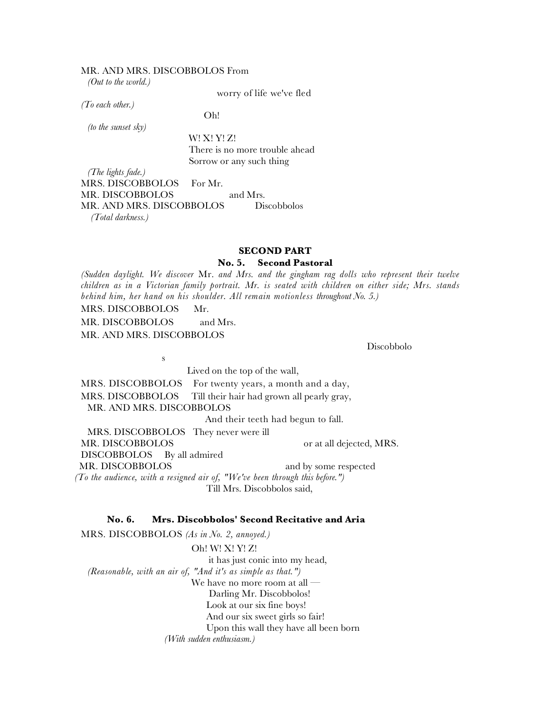#### MR. AND MRS. DISCOBBOLOS From

*(Out to the world.)*

worry of life we've fled

*(To each other.)*

Oh!

*(to the sunset sky)* 

 W! X! Y! Z! There is no more trouble ahead Sorrow or any such thing

*(The lights fade.)* MRS. DISCOBBOLOS For Mr. MR. DISCOBBOLOS and Mrs. MR. AND MRS. DISCOBBOLOS Discobbolos *(Total darkness.)*

## **SECOND PART**

## **No. 5. Second Pastoral**

*(Sudden daylight. We discover* Mr. *and Mrs. and the gingham rag dolls who represent their twelve children as in a Victorian family portrait. Mr. is seated with children on either side; Mrs. stands behind him, her hand on his shoulder. All remain motionless throughout No. 5.)*

MRS. DISCOBBOLOS Mr.

MR. DISCOBBOLOS and Mrs. MR. AND MRS. DISCOBBOLOS

s

Discobbolo

 Lived on the top of the wall, MRS. DISCOBBOLOS For twenty years, a month and a day, MRS. DISCOBBOLOS Till their hair had grown all pearly gray, MR. AND MRS. DISCOBBOLOS And their teeth had begun to fall. MRS. DISCOBBOLOS They never were ill MR. DISCOBBOLOS or at all dejected, MRS. DISCOBBOLOS By all admired MR. DISCOBBOLOS and by some respected *(To the audience, with a resigned air of, "We've been through this before.")* Till Mrs. Discobbolos said,

## **No. 6. Mrs. Discobbolos' Second Recitative and Aria**

MRS. DISCOBBOLOS *(As in No. 2, annoyed.)* Oh! W! X! Y! Z! it has just conic into my head, *(Reasonable, with an air of, "And it's as simple as that.")*  We have no more room at all — Darling Mr. Discobbolos! Look at our six fine boys! And our six sweet girls so fair! Upon this wall they have all been born *(With sudden enthusiasm.)*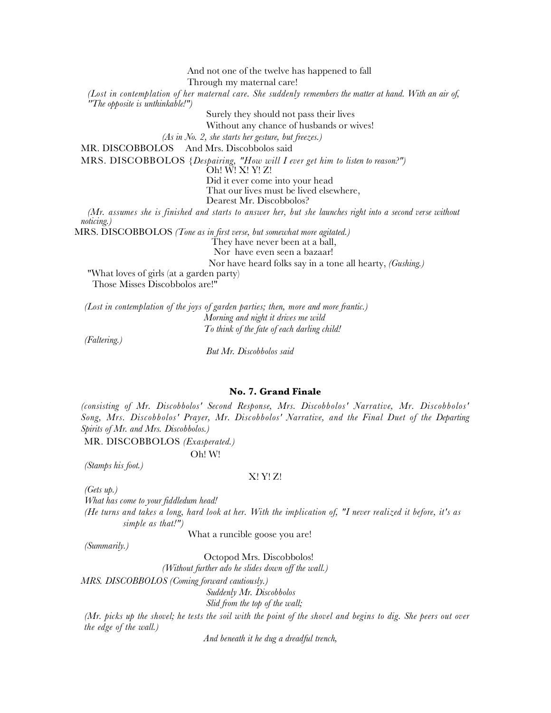And not one of the twelve has happened to fall Through my maternal care!

*(Lost in contemplation of her maternal care. She suddenly remembers the matter at hand. With an air of, ''The opposite is unthinkable!")*

Surely they should not pass their lives

Without any chance of husbands or wives!

*(As in No. 2, she starts her gesture, but freezes.)*

MR. DISCOBBOLOS And Mrs. Discobbolos said

MRS. DISCOBBOLOS *{Despairing, "How will I ever get him to listen to reason?")*

Oh! W! X! Y! Z!

Did it ever come into your head

That our lives must be lived elsewhere,

Dearest Mr. Discobbolos?

*(Mr. assumes she is finished and starts to answer her, but she launches right into a second verse without noticing.)*

MRS. DISCOBBOLOS *(Tone as in first verse, but somewhat more agitated.)*

They have never been at a ball,

Nor have even seen a bazaar!

Nor have heard folks say in a tone all hearty, *(Gushing.)*

"What loves of girls (at a garden party) Those Misses Discobbolos are!"

*(Lost in contemplation of the joys of garden parties; then, more and more frantic.) Morning and night it drives me wild To think of the fate of each darling child!*

*(Faltering.)*

 *But Mr. Discobbolos said*

#### **No. 7. Grand Finale**

*(consisting of Mr. Discobbolos' Second Response, Mrs. Discobbolos' Narrative, Mr. Discobbolos' Song, Mrs. Discobbolos' Prayer, Mr. Discobbolos' Narrative, and the Final Duet of the Departing Spirits of Mr. and Mrs. Discobbolos.)*

MR. DISCOBBOLOS *(Exasperated.)*

Oh! W!

*(Stamps his foot.)*

#### X! Y! Z!

*(Gets up.)*

*What has come to your fiddledum head!*

*(He turns and takes a long, hard look at her. With the implication of, "I never realized it before, it's as simple as that!")* 

What a runcible goose you are!

*(Summarily.)*

Octopod Mrs. Discobbolos!

*(Without further ado he slides down off the wall.)*

*MRS. DISCOBBOLOS (Coming forward cautiously.)*

 *Suddenly Mr. Discobbolos*

 *Slid from the top of the wall;*

*(Mr. picks up the shovel; he tests the soil with the point of the shovel and begins to dig. She peers out over the edge of the wall.)*

 *And beneath it he dug a dreadful trench,*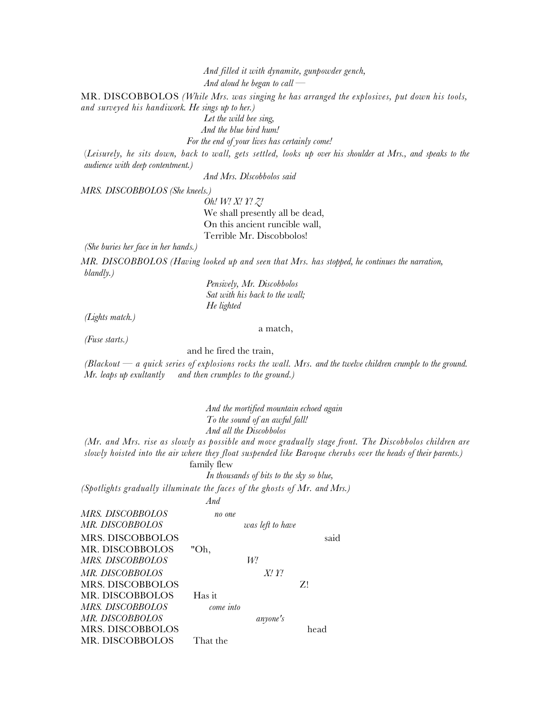*And filled it with dynamite, gunpowder gench, And aloud he began to call —*

MR. DISCOBBOLOS *(While Mrs. was singing he has arranged the explosives, put down his tools, and surveyed his handiwork. He sings up to her.)*

 *Let the wild bee sing,*

 *And the blue bird hum!*

 *For the end of your lives has certainly come!*

(*Leisurely, he sits down, back to wall, gets settled, looks up over his shoulder at Mrs., and speaks to the audience with deep contentment.)*

 *And Mrs. Dlscobbolos said*

*MRS. DISCOBBOLOS (She kneels.)*

 *Oh! W! X! Y! Z!* We shall presently all be dead, On this ancient runcible wall, Terrible Mr. Discobbolos!

*(She buries her face in her hands.)*

*MR. DISCOBBOLOS (Having looked up and seen that Mrs. has stopped, he continues the narration, blandly.)*

> *Pensively, Mr. Discobbolos Sat with his back to the wall; He lighted*

*(Lights match.)*

a match,

*(Fuse starts.)*

and he fired the train,

*(Blackout — a quick series of explosions rocks the wall. Mrs. and the twelve children crumple to the ground. Mr. leaps up exultantly and then crumples to the ground.)*

 *And the mortified mountain echoed again To the sound of an awful fall! And all the Discobbolos (Mr. and Mrs. rise as slowly as possible and move gradually stage front. The Discobbolos children are slowly hoisted into the air where they float suspended like Baroque cherubs over the heads of their parents.)*

family flew

 *In thousands of bits to the sky so blue,*

*(Spotlights gradually illuminate the faces of the ghosts of Mr. and Mrs.) And*

| <i>MRS. DISCOBBOLOS</i><br><i>MR. DISCOBBOLOS</i>              | no one<br>was left to have |      |
|----------------------------------------------------------------|----------------------------|------|
| MRS. DISCOBBOLOS<br>MR. DISCOBBOLOS                            | "Oh,                       | said |
| MRS. DISCOBBOLOS<br><i>MR. DISCOBBOLOS</i><br>MRS. DISCOBBOLOS | W!<br>$X'$ . $Y'$ .        | Z!   |
| MR. DISCOBBOLOS<br><i>MRS. DISCOBBOLOS</i>                     | Has it<br>$come$ into      |      |
| <i>MR. DISCOBBOLOS</i><br>MRS. DISCOBBOLOS<br>MR. DISCOBBOLOS  | anyone's<br>That the       | head |